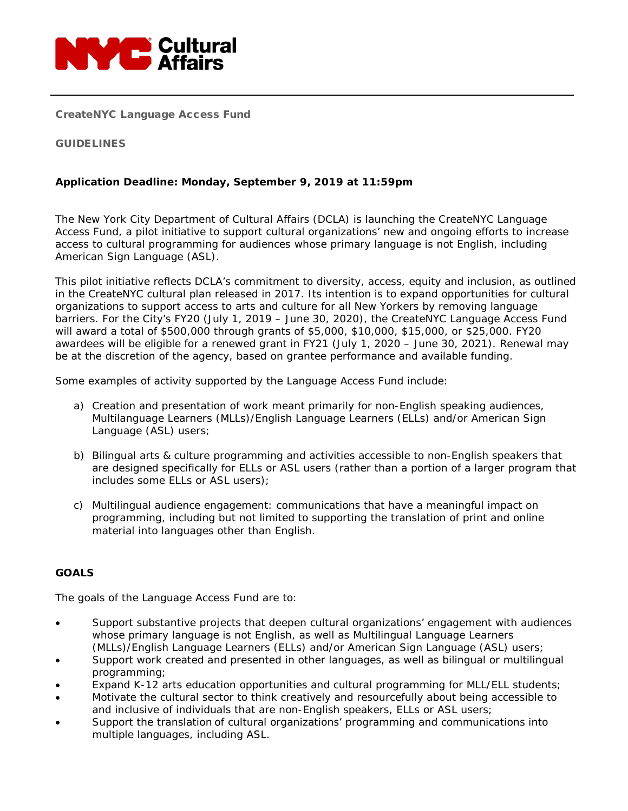

CreateNYC Language Access Fund

## GUIDELINES

## **Application Deadline: Monday, September 9, 2019 at 11:59pm**

The New York City Department of Cultural Affairs (DCLA) is launching the CreateNYC Language Access Fund, a pilot initiative to support cultural organizations' new and ongoing efforts to increase access to cultural programming for audiences whose primary language is not English, including American Sign Language (ASL).

This pilot initiative reflects DCLA's commitment to diversity, access, equity and inclusion, as outlined in the CreateNYC cultural plan released in 2017. Its intention is to expand opportunities for cultural organizations to support access to arts and culture for all New Yorkers by removing language barriers. For the City's FY20 (July 1, 2019 – June 30, 2020), the CreateNYC Language Access Fund will award a total of \$500,000 through grants of \$5,000, \$10,000, \$15,000, or \$25,000. FY20 awardees will be eligible for a renewed grant in FY21 (July 1, 2020 – June 30, 2021). Renewal may be at the discretion of the agency, based on grantee performance and available funding.

Some examples of activity supported by the Language Access Fund include:

- a) Creation and presentation of work meant primarily for non-English speaking audiences, Multilanguage Learners (MLLs)/English Language Learners (ELLs) and/or American Sign Language (ASL) users;
- b) Bilingual arts & culture programming and activities accessible to non-English speakers that are designed specifically for ELLs or ASL users (rather than a portion of a larger program that includes some ELLs or ASL users);
- c) Multilingual audience engagement: communications that have a meaningful impact on programming, including but not limited to supporting the translation of print and online material into languages other than English.

## **GOALS**

The goals of the Language Access Fund are to:

- Support substantive projects that deepen cultural organizations' engagement with audiences whose primary language is not English, as well as Multilingual Language Learners (MLLs)/English Language Learners (ELLs) and/or American Sign Language (ASL) users;
- Support work created and presented in other languages, as well as bilingual or multilingual programming;
- Expand K-12 arts education opportunities and cultural programming for MLL/ELL students;
- Motivate the cultural sector to think creatively and resourcefully about being accessible to and inclusive of individuals that are non-English speakers, ELLs or ASL users;
- Support the translation of cultural organizations' programming and communications into multiple languages, including ASL.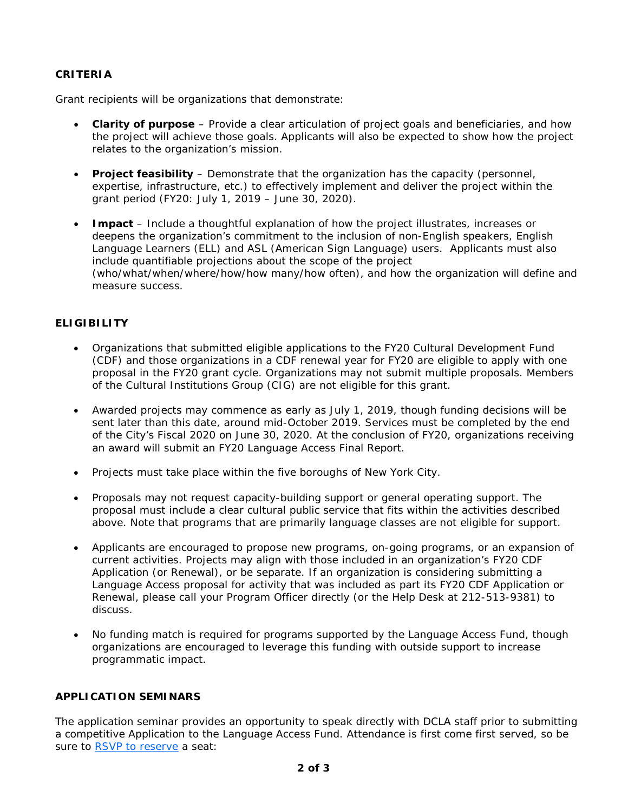# **CRITERIA**

Grant recipients will be organizations that demonstrate:

- **Clarity of purpose** Provide a clear articulation of project goals and beneficiaries, and how the project will achieve those goals. Applicants will also be expected to show how the project relates to the organization's mission.
- **Project feasibility** Demonstrate that the organization has the capacity (personnel, expertise, infrastructure, etc.) to effectively implement and deliver the project within the grant period (FY20: July 1, 2019 – June 30, 2020).
- **Impact** Include a thoughtful explanation of how the project illustrates, increases or deepens the organization's commitment to the inclusion of non-English speakers, English Language Learners (ELL) and ASL (American Sign Language) users. Applicants must also include quantifiable projections about the scope of the project (who/what/when/where/how/how many/how often), and how the organization will define and measure success.

# **ELIGIBILITY**

- Organizations that submitted eligible applications to the FY20 Cultural Development Fund (CDF) and those organizations in a CDF renewal year for FY20 are eligible to apply with one proposal in the FY20 grant cycle. Organizations may not submit multiple proposals. Members of the Cultural Institutions Group (CIG) are not eligible for this grant.
- Awarded projects may commence as early as July 1, 2019, though funding decisions will be sent later than this date, around mid-October 2019. Services must be completed by the end of the City's Fiscal 2020 on June 30, 2020. At the conclusion of FY20, organizations receiving an award will submit an FY20 Language Access Final Report.
- Projects must take place within the five boroughs of New York City.
- Proposals may not request capacity-building support or general operating support. The proposal must include a clear cultural public service that fits within the activities described above. Note that programs that are primarily language classes are not eligible for support.
- Applicants are encouraged to propose new programs, on-going programs, or an expansion of current activities. Projects may align with those included in an organization's FY20 CDF Application (or Renewal), or be separate. If an organization is considering submitting a Language Access proposal for activity that was included as part its FY20 CDF Application or Renewal, please call your Program Officer directly (or the Help Desk at 212-513-9381) to discuss.
- No funding match is required for programs supported by the Language Access Fund, though organizations are encouraged to leverage this funding with outside support to increase programmatic impact.

#### **APPLICATION SEMINARS**

The application seminar provides an opportunity to speak directly with DCLA staff prior to submitting a competitive Application to the Language Access Fund. Attendance is first come first served, so be sure to [RSVP to reserve](https://www1.nyc.gov/site/dcla/programs/languageaccess.page) a seat: